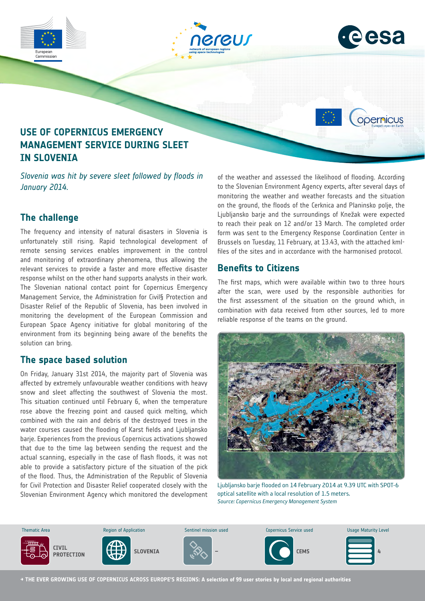

## **The challenge**

*January 2014.*

The frequency and intensity of natural disasters in Slovenia is unfortunately still rising. Rapid technological development of remote sensing services enables improvement in the control and monitoring of extraordinary phenomena, thus allowing the relevant services to provide a faster and more effective disaster response whilst on the other hand supports analysts in their work. The Slovenian national contact point for Copernicus Emergency Management Service, the Administration for Civil§ Protection and Disaster Relief of the Republic of Slovenia, has been involved in monitoring the development of the European Commission and European Space Agency initiative for global monitoring of the environment from its beginning being aware of the benefits the solution can bring.

### **The space based solution**

On Friday, January 31st 2014, the majority part of Slovenia was affected by extremely unfavourable weather conditions with heavy snow and sleet affecting the southwest of Slovenia the most. This situation continued until February 6, when the temperature rose above the freezing point and caused quick melting, which combined with the rain and debris of the destroyed trees in the water courses caused the flooding of Karst fields and Ljubljansko barje. Experiences from the previous Copernicus activations showed that due to the time lag between sending the request and the actual scanning, especially in the case of flash floods, it was not able to provide a satisfactory picture of the situation of the pick of the flood. Thus, the Administration of the Republic of Slovenia for Civil Protection and Disaster Relief cooperated closely with the Slovenian Environment Agency which monitored the development

of the weather and assessed the likelihood of flooding. According to the Slovenian Environment Agency experts, after several days of monitoring the weather and weather forecasts and the situation on the ground, the floods of the Cerknica and Planinsko polje, the Ljubljansko barje and the surroundings of Knežak were expected to reach their peak on 12 and/or 13 March. The completed order form was sent to the Emergency Response Coordination Center in Brussels on Tuesday, 11 February, at 13.43, with the attached kmlfiles of the sites and in accordance with the harmonised protocol.

## **Benefits to Citizens**

The first maps, which were available within two to three hours after the scan, were used by the responsible authorities for the first assessment of the situation on the ground which, in combination with data received from other sources, led to more reliable response of the teams on the ground.



Ljubljansko barje flooded on 14 February 2014 at 9.39 UTC with SPOT-6 optical satellite with a local resolution of 1.5 meters. *Source: Copernicus Emergency Management System*



**→ THE EVER GROWING USE OF COPERNICUS ACROSS EUROPE'S REGIONS: A selection of 99 user stories by local and regional authorities**